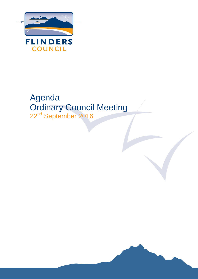

# Agenda Ordinary Council Meeting 22<sup>nd</sup> September 2016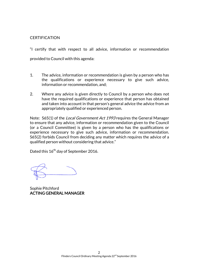#### **CERTIFICATION**

"I certify that with respect to all advice, information or recommendation provided to Council with this agenda:

- 1. The advice, information or recommendation is given by a person who has the qualifications or experience necessary to give such advice, information or recommendation, and;
- 2. Where any advice is given directly to Council by a person who does not have the required qualifications or experience that person has obtained and taken into account in that person's general advice the advice from an appropriately qualified or experienced person.

Note: S65(1) of the *Local Government Act 1993* requires the General Manager to ensure that any advice, information or recommendation given to the Council (or a Council Committee) is given by a person who has the qualifications or experience necessary to give such advice, information or recommendation. S65(2) forbids Council from deciding any matter which requires the advice of a qualified person without considering that advice."

Dated this 16<sup>th</sup> day of September 2016.

Sophie Pitchford ACTING GENERAL MANAGER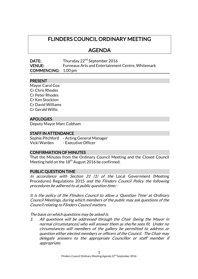## FLINDERS COUNCIL ORDINARY MEETING

## AGENDA

**DATE:** Thursday 22<sup>nd</sup> September 2016 VENUE: Furneaux Arts and Entertainment Centre, Whitemark COMMENCING: 1.00 pm

#### PRESENT

Mayor Carol Cox Cr Chris Rhodes Cr Peter Rhodes Cr Ken Stockton Cr David Williams Cr Gerald Willis

#### APOLOGIES

Deputy Mayor Marc Cobham

#### STAFF IN ATTENDANCE

Sophie Pitchford - Acting General Manager Vicki Warden - Executive Officer

#### CONFIRMATION OF MINUTES

That the Minutes from the Ordinary Council Meeting and the Closed Council Meeting held on the 18<sup>th</sup> August 2016 be confirmed.

#### PUBLIC QUESTION TIME

In accordance with Section 31 (1) of the Local Government (Meeting Procedures) Regulations 2015 and the Flinders Council Policy the following procedures be adhered to at public question time:-

It is the policy of the Flinders Council to allow a 'Question Time' at Ordinary Council Meetings, during which members of the public may ask questions of the Council relating to Flinders Council matters.

The basis on which questions may be asked is:

1. All questions will be addressed through the Chair (being the Mayor in normal circumstances) who will answer them as she/he sees fit. Under no circumstances will members of the gallery be permitted to address or question either elected members or officers of the Council. The Chair may delegate answers to the appropriate Councillor or staff member if appropriate.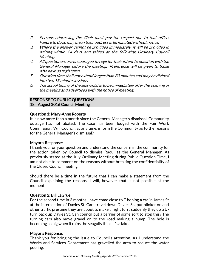- 2. Persons addressing the Chair must pay the respect due to that office. Failure to do so may mean their address is terminated without notice.
- 3. Where the answer cannot be provided immediately, it will be provided in writing within 14 days and tabled at the following Ordinary Council Meeting.
- 4. All questioners are encouraged to register their intent to question with the General Manager before the meeting. Preference will be given to those who have so registered.
- 5. Question time shall not extend longer than 30 minutes and may be divided into two 15 minute sessions.
- 6. The actual timing of the session(s) is to be immediately after the opening of the meeting and advertised with the notice of meeting.

#### RESPONSE TO PUBLIC QUESTIONS 18<sup>th</sup> August 2016 Council Meeting

#### Question 1: Mary-Anne Roberts

It is now more than a month since the General Manager's dismissal. Community outrage has not abated. The case has been lodged with the Fair Work Commission. Will Council, at any time, inform the Community as to the reasons for the General Manager's dismissal?

#### Mayor's Response:

I thank you for your question and understand the concern in the community for the action taken by Council to dismiss Raoul as the General Manager. As previously stated at the July Ordinary Meeting during Public Question Time, I am not able to comment on the reasons without breaking the confidentiality of the Closed Council meeting.

Should there be a time in the future that I can make a statement from the Council explaining the reasons, I will, however that is not possible at the moment.

#### Question 2: Bill LaGrue

For the second time in 3 months I have come close to T boning a car in James St at the intersection of Davies St. Cars travel down Davies St., put blinker on and other traffic presume they are about to make a right turn, suddenly they do a Uturn back up Davies St. Can council put a barrier of some sort to stop this? The turning cars also move gravel on to the road making a hump. The hole is becoming so big when it rains the seagulls think it's a lake.

#### Mayor's Response:

Thank you for bringing the issue to Council's attention. As I understand the Works and Services Department has gravelled the area to reduce the water pooling.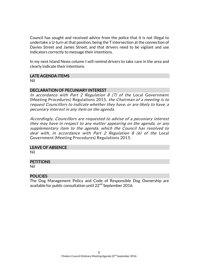Council has sought and received advice from the police that it is not illegal to undertake a U-turn at that position, being the T intersection at the connection of Davies Street and James Street, and that drivers need to be vigilant and use indicators correctly to message their intentions.

In my next Island News column I will remind drivers to take care in the area and clearly indicate their intentions.

#### LATE AGENDA ITEMS

Nil

#### DECLARATION OF PECUNIARY INTEREST

In accordance with Part 2 Regulation  $8$  (7) of the Local Government (Meeting Procedures) Regulations 2015, the Chairman of a meeting is to request Councillors to indicate whether they have, or are likely to have, a pecuniary interest in any item on the agenda.

Accordingly, Councillors are requested to advise of a pecuniary interest they may have in respect to any matter appearing on the agenda, or any supplementary item to the agenda, which the Council has resolved to deal with, in accordance with Part 2 Regulation 8 (6) of the Local Government (Meeting Procedures) Regulations 2015.

## LEAVE OF ABSENCE

Nil

#### **PETITIONS**

Nil

#### POLICIES

The Dog Management Policy and Code of Responsible Dog Ownership are available for public consultation until 22<sup>nd</sup> September 2016.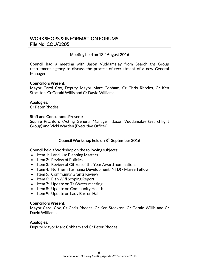## WORKSHOPS & INFORMATION FORUMS File No: COU/0205

## Meeting held on 18<sup>th</sup> August 2016

Council had a meeting with Jason Vuddamalay from Searchlight Group recruitment agency to discuss the process of recruitment of a new General Manager.

#### Councillors Present:

Mayor Carol Cox, Deputy Mayor Marc Cobham, Cr Chris Rhodes, Cr Ken Stockton, Cr Gerald Willis and Cr David Williams.

#### Apologies:

Cr Peter Rhodes

#### Staff and Consultants Present:

Sophie Pitchford (Acting General Manager), Jason Vuddamalay (Searchlight Group) and Vicki Warden (Executive Officer).

### Council Workshop held on 8<sup>th</sup> September 2016

Council held a Workshop on the following subjects:

- Item 1: Land Use Planning Matters
- Item 2: Review of Policies
- Item 3: Review of Citizen of the Year Award nominations
- Item 4: Northern Tasmania Development (NTD) Maree Tetlow
- Item 5: Community Grants Review
- Item 6: Elan Wifi Scoping Report
- Item 7: Update on TasWater meeting
- Item 8: Update on Community Health
- Item 9: Update on Lady Barron Hall

#### Councillors Present:

Mayor Carol Cox, Cr Chris Rhodes, Cr Ken Stockton, Cr Gerald Willis and Cr David Williams.

#### Apologies:

Deputy Mayor Marc Cobham and Cr Peter Rhodes.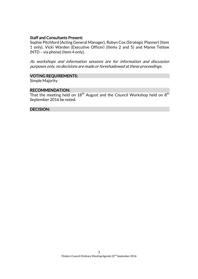#### Staff and Consultants Present:

Sophie Pitchford (Acting General Manager), Robyn Cox (Strategic Planner) (Item 1 only), Vicki Warden (Executive Officer) (Items 2 and 5) and Maree Tetlow (NTD – via phone) (Item 4 only).

As workshops and information sessions are for information and discussion purposes only, no decisions are made or foreshadowed at these proceedings.

#### VOTING REQUIREMENTS:

Simple Majority

#### RECOMMENDATION:

That the meeting held on  $18^{\mathsf{th}}$  August and the Council Workshop held on  $8^{\mathsf{th}}$ September 2016 be noted.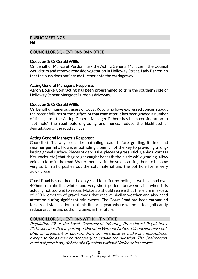#### PUBLIC MEETINGS

Nil

#### COUNCILLOR'S QUESTIONS ON NOTICE

#### Question 1: Cr Gerald Willis

On behalf of Margaret Purdon I ask the Acting General Manager if the Council would trim and remove roadside vegetation in Holloway Street, Lady Barron, so that the bush does not intrude further onto the carriageway.

#### Acting General Manager's Response:

Aaron Bourke Contracting has been programmed to trim the southern side of Holloway St near Margaret Purdon's driveway.

#### Question 2: Cr Gerald Willis

On behalf of numerous users of Coast Road who have expressed concern about the recent failures of the surface of that road after it has been graded a number of times, I ask the Acting General Manager if there has been consideration to "pot hole" the road before grading and, hence, reduce the likelihood of degradation of the road surface.

#### Acting General Manager's Response:

Council staff always consider potholing roads before grading, if time and weather permits. However potholing alone is not the key to providing a longlasting gravel surface. Pieces of debris (i.e. pieces of grass, sticks, animal carcass bits, rocks, etc.) that drag or get caught beneath the blade while grading, allow voids to form in the road. Water then lays in the voids causing them to become very soft. Traffic pushes out the soft material and the pot hole forms very quickly again.

Coast Road has not been the only road to suffer potholing as we have had over 400mm of rain this winter and very short periods between rains when it is actually not too wet to repair. Motorists should realise that there are in excess of 250 kilometres of gravel roads that receive similar weather and also need attention during significant rain events. The Coast Road has been earmarked for a road stabilisation trial this financial year where we hope to significantly reduce grading and potholing times in the future.

### COUNCILLOR'S QUESTIONS WITHOUT NOTICE

Regulation 29 of the Local Government (Meeting Procedures) Regulations 2015 specifies that in putting a Question Without Notice a Councillor must not offer an argument or opinion, draw any inference or make any imputations except so far as may be necessary to explain the question. The Chairperson must not permit any debate of a Question without Notice or its answer.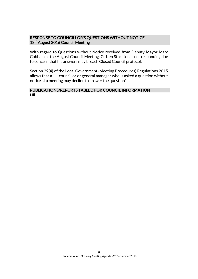#### RESPONSE TO COUNCILLOR'S QUESTIONS WITHOUT NOTICE 18<sup>th</sup> August 2016 Council Meeting

With regard to Questions without Notice received from Deputy Mayor Marc Cobham at the August Council Meeting, Cr Ken Stockton is not responding due to concern that his answers may breach Closed Council protocol.

Section 29(4) of the Local Government (Meeting Procedures) Regulations 2015 allows that a "…..councillor or general manager who is asked a question without notice at a meeting may decline to answer the question".

#### PUBLICATIONS/REPORTS TABLED FOR COUNCIL INFORMATION Nil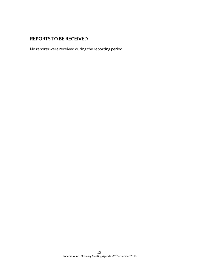## REPORTS TO BE RECEIVED

No reports were received during the reporting period.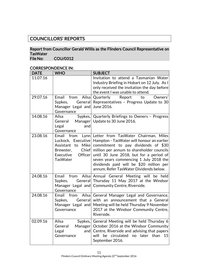## COUNCILLORS' REPORTS

## Report from Councillor Gerald Willis as the Flinders Council Representative on TasWater<br>File No:

COU/0312

#### CORRESPONDENCE IN:

| <b>DATE</b> | <b>WHO</b>                                                                            | <b>SUBJECT</b>                                                                                                                                                                                                                                                                                                                                                                              |
|-------------|---------------------------------------------------------------------------------------|---------------------------------------------------------------------------------------------------------------------------------------------------------------------------------------------------------------------------------------------------------------------------------------------------------------------------------------------------------------------------------------------|
| 11.07.16    |                                                                                       | Invitation to attend a Tasmanian Water<br>Industry Briefing in Hobart on 12 July. As I<br>only received the invitation the day before<br>the event I was unable to attend.                                                                                                                                                                                                                  |
| 29.07.16    | General<br>Sypkes,<br>Manager Legal and<br>Governance                                 | Email from Ailsa Quarterly Report<br>to Owners'<br>Representatives - Progress Update to 30<br>June 2016.                                                                                                                                                                                                                                                                                    |
| 14.08.16    | Ailsa<br>General<br>Legal<br>and<br>Governance                                        | Sypkes,   Quarterly Briefings to Owners - Progress<br>Manager   Update to 30 June 2016.                                                                                                                                                                                                                                                                                                     |
| 23.08.16    | Email<br>from<br><b>Chief</b><br>Brewster,<br>Officer<br>Executive<br><b>TasWater</b> | Lynn Letter from TasWater Chairman, Miles<br>Luckock, Executive   Hampton - TasWater will honour an earlier<br>Assistant to Mike commitment to pay dividends of \$30<br>million per annum to shareholder councils<br>until 30 June 2018, but for a period of<br>seven years commencing 1 July 2018 the<br>dividends paid will be \$20 million per<br>annum. Refer TasWater Dividends below. |
| 24.08.16    | Email<br>Sypkes,<br>Governance                                                        | from Ailsa Annual General Meeting will be held<br>General Thursday 11 May 2017 at the Windsor<br>Manager Legal and Community Centre, Riverside.                                                                                                                                                                                                                                             |
| 24.08.16    | Email from<br>General<br>Sypkes,<br>Manager Legal and<br>Governance                   | Ailsa General Manager Legal and Governance,<br>with an announcement that a General<br>Meeting will be held Thursday 9 November<br>2017 at the Windsor Community Centre,<br>Riverside.                                                                                                                                                                                                       |
| 02.09.16    | Ailsa<br>Sypkes,<br>General<br>Manager<br>Legal<br>and<br>Governance                  | General Meeting will be held Thursday 6<br>October 2016 at the Windsor Community<br>Centre, Riverside and advising that papers<br>will<br>be<br>circulated<br>later than<br>no<br>15<br>September 2016.                                                                                                                                                                                     |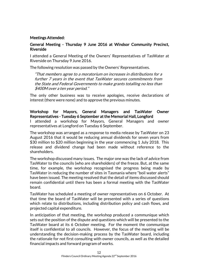#### Meetings Attended:

#### General Meeting - Thursday 9 June 2016 at Windsor Community Precinct, Riverside

I attended a General Meeting of the Owners' Representatives of TasWater at Riverside on Thursday 9 June 2016.

The following resolution was passed by the Owners' Representatives.

"That members agree to a moratorium on increases in distributions for a further 7 years in the event that TasWater secures commitments from the State and Federal Governments to make grants totalling no less than \$400M over a ten year period."

The only other business was to receive apologies, receive declarations of interest (there were none) and to approve the previous minutes.

Workshop for Mayors, General Managers and TasWater Owner Representatives - Tuesday 6 September at the Memorial Hall, Longford I attended a workshop for Mayors, General Managers and owner representatives at Longford on Tuesday 6 September.

The workshop was arranged as a response to media release by TasWater on 23 August 2016 that it would be reducing annual dividends for seven years from \$30 million to \$20 million beginning in the year commencing 1 July 2018. This release and dividend change had been made without reference to the shareholders.

The workshop discussed many issues. The major one was the lack of advice from TasWater to the councils (who are shareholders) of the freeze. But, at the same time, for example, the workshop recognised the progress being made by TasWater in reducing the number of sites in Tasmania where "boil water alerts" have been issued. The meeting resolved that the detail of items discussed should remain confidential until there has been a formal meeting with the TasWater board.

TasWater has scheduled a meeting of owner representatives on 6 October. At that time the board of TasWater will be presented with a series of questions which relate to distributions, including distribution policy and cash flows, and projected capital expenditure.

In anticipation of that meeting, the workshop produced a communique which sets out the position of the dispute and questions which will be presented to the TasWater board at its 6 October meeting. For the moment the communique itself is confidential to all councils. However, the focus of the meeting will be understanding the decision-making process by the TasWater board, including the rationale for not first consulting with owner councils, as well as the detailed financial impacts and forward program of works.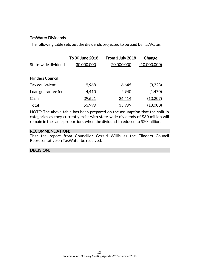### TasWater Dividends

The following table sets out the dividends projected to be paid by TasWater.

|                         | To 30 June 2018 | From 1 July 2018 | Change          |
|-------------------------|-----------------|------------------|-----------------|
| State-wide dividend     | 30,000,000      | 20,000,000       | (10,000,000)    |
|                         |                 |                  |                 |
| <b>Flinders Council</b> |                 |                  |                 |
| Tax equivalent          | 9,968           | 6,645            | (3,323)         |
| Loan guarantee fee      | 4,410           | 2,940            | (1,470)         |
| Cash                    | 39,621          | 26,414           | (13,207)        |
| Total                   | 53,999          | 35,999           | <u>(18,000)</u> |

NOTE: The above table has been prepared on the assumption that the split in categories as they currently exist with state-wide dividends of \$30 million will remain in the same proportions when the dividend is reduced to \$20 million.

#### RECOMMENDATION:

That the report from Councillor Gerald Willis as the Flinders Council Representative on TasWater be received.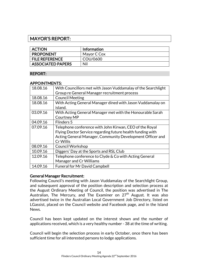## MAYOR'S REPORT:

| <b>ACTION</b>            | Information |
|--------------------------|-------------|
| <b>PROPONENT</b>         | Mayor C Cox |
| <b>FILE REFERENCE</b>    | COU/0600    |
| <b>ASSOCIATED PAPERS</b> | Nil         |

#### REPORT:

#### APPOINTMENTS:

| With Councillors met with Jason Vuddamalay of the Searchlight |
|---------------------------------------------------------------|
| Group re General Manager recruitment process                  |
| <b>Council Meeting</b>                                        |
| With Acting General Manager dined with Jason Vuddamalay on    |
| island.                                                       |
| With Acting General Manager met with the Honourable Sarah     |
| <b>Courtney MP</b>                                            |
| Flinders 5                                                    |
| Telephone conference with John Kirwan, CEO of the Royal       |
| Flying Doctor Service regarding future health funding with    |
| Acting General Manager, Community Development Officer and     |
| Cr Willis                                                     |
| <b>Council Workshop</b>                                       |
| Diggers' Day at the Sports and RSL Club                       |
| Telephone conference to Clyde & Co with Acting General        |
| Manager and Cr Williams                                       |
| <b>Funeral for Mr David Campbell</b>                          |
|                                                               |

#### General Manager Recruitment:

Following Council's meeting with Jason Vuddamalay of the Searchlight Group, and subsequent approval of the position description and selection process at the August Ordinary Meeting of Council, the position was advertised in The Australian, The Mercury, and The Examiner on  $27<sup>th</sup>$  August. It was also advertised twice in the Australian Local Government Job Directory, listed on LGassist, placed on the Council website and Facebook page, and in the Island News.

Council has been kept updated on the interest shown and the number of applications received, which is a very healthy number - 38 at the time of writing.

Council will begin the selection process in early October, once there has been sufficient time for all interested persons to lodge applications.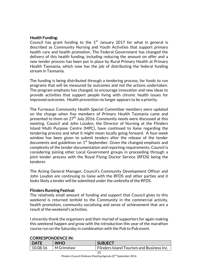#### Health Funding:

Council has grant funding to the  $1<sup>st</sup>$  January 2017 for what in general is described as Community Nursing and Youth Activities that support primary health care and health promotion. The Federal Government has changed the delivery of this health funding, including reducing the amount on offer and a new tender process has been put in place by Rural Primary Health at Primary Health Tasmania, which now has the job of distributing the federal funding stream in Tasmania.

The funding is being distributed through a tendering process, for funds to run programs that will be measured by outcomes and not the actions undertaken. The program emphasis has changed, to encourage innovation and new ideas to provide activities that support people living with chronic health issues for improved outcomes. Health prevention no longer appears to be a priority.

The Furneaux Community Health Special Committee members were updated on the change when five members of Primary Health Tasmania came and presented to them on 27 $^{\rm th}$  July 2016. Community needs were discussed at this meeting. Council and John Loudon, the Director of Nursing at the Flinders Island Multi Purpose Centre (MPC), have continued to liaise regarding the tendering process and what it might mean locally going forward. A four-week window has been given to submit tenders after the release of the tender documents and guidelines on  $1^\mathrm{st}$  September. Given the changed emphasis and complexity of the tender documentation and reporting requirements, Council is considering joining other Local Government groups in proceeding through a joint tender process with the Royal Flying Doctor Service (RFDS) being the tenderer.

The Acting General Manager, Council's Community Development Officer and John Loudon are continuing to liaise with the RFDS and other parties and it looks likely a tender will be submitted under the umbrella of the RFDS.

#### Flinders Running Festival:

The relatively small amount of funding and support that Council gives to this weekend is returned tenfold to the Community in the commercial activity, health promotion, community socialising and sense of achievement that are a result of the weekend's activities.

I sincerely thank the organisers and their myriad of supporters for again making this weekend happen and grow with the introduction this year of the marathon course run on the Saturday in combination with the Pub to Pub event.

| <b>DATE</b> | <b>WHO</b> | <b>SUBJECT</b>                                   |
|-------------|------------|--------------------------------------------------|
| 10.08.16    | M Grimshaw | <b>Flinders Island Tourism and Business Inc.</b> |
|             |            | 15                                               |

#### CORRESPONDENCE IN: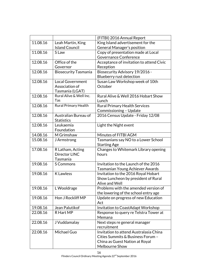|                                              |                                                            | (FITBI) 2016 Annual Report                                                                                                                                                                                                                                                     |
|----------------------------------------------|------------------------------------------------------------|--------------------------------------------------------------------------------------------------------------------------------------------------------------------------------------------------------------------------------------------------------------------------------|
| 11.08.16                                     | Leah Martin, King                                          | King Island advertisement for the                                                                                                                                                                                                                                              |
|                                              | <b>Island Council</b>                                      | General Manager's position                                                                                                                                                                                                                                                     |
| 11.08.16                                     | S Law                                                      | Copy of presentation made at Local                                                                                                                                                                                                                                             |
|                                              |                                                            | <b>Governance Conference</b>                                                                                                                                                                                                                                                   |
| 12.08.16                                     | Office of the                                              | Acceptance of invitation to attend Civic                                                                                                                                                                                                                                       |
|                                              | Governor                                                   | Reception                                                                                                                                                                                                                                                                      |
| 12.08.16                                     | <b>Biosecurity Tasmania</b>                                | Biosecurity Advisory 19/2016 -                                                                                                                                                                                                                                                 |
|                                              |                                                            | Blueberry rust detection                                                                                                                                                                                                                                                       |
| 12.08.16                                     | <b>Local Government</b>                                    | Susan Law Workshop week of 10th                                                                                                                                                                                                                                                |
|                                              | Association of                                             | October                                                                                                                                                                                                                                                                        |
|                                              | Tasmania (LGAT)                                            |                                                                                                                                                                                                                                                                                |
| 12.08.16                                     | Rural Alive & Well Inc.                                    | Rural Alive & Well 2016 Hobart Show                                                                                                                                                                                                                                            |
|                                              | Tas                                                        | Lunch                                                                                                                                                                                                                                                                          |
| 12.08.16                                     | <b>Rural Primary Health</b>                                | <b>Rural Primary Health Services</b>                                                                                                                                                                                                                                           |
|                                              |                                                            | Commissioning - Update                                                                                                                                                                                                                                                         |
| 12.08.16                                     | Australian Bureau of                                       | 2016 Census Update - Friday 12/08                                                                                                                                                                                                                                              |
|                                              | <b>Statistics</b>                                          |                                                                                                                                                                                                                                                                                |
| 12.08.16                                     | Leukaemia                                                  | Light the Night event                                                                                                                                                                                                                                                          |
|                                              | Foundation                                                 |                                                                                                                                                                                                                                                                                |
| 14.08.16                                     | M Grimshaw                                                 | Minutes of FITBI AGM                                                                                                                                                                                                                                                           |
| 15.08.16                                     | J Armstrong                                                | Tasmanians say NO to a Lower School                                                                                                                                                                                                                                            |
|                                              |                                                            | <b>Starting Age</b>                                                                                                                                                                                                                                                            |
| 17.08.16                                     | R Latham, Acting                                           | Changes to Whitemark Library opening                                                                                                                                                                                                                                           |
|                                              | Director LINC                                              | hours                                                                                                                                                                                                                                                                          |
|                                              | Tasmania                                                   |                                                                                                                                                                                                                                                                                |
| 19.08.16                                     | <b>S</b> Commons                                           | Invitation to the Launch of the 2016                                                                                                                                                                                                                                           |
|                                              |                                                            | Tasmanian Young Achiever Awards                                                                                                                                                                                                                                                |
| 19.08.16                                     | <b>K</b> Lawless                                           | Invitation to the 2016 Royal Hobart                                                                                                                                                                                                                                            |
|                                              |                                                            | Show Luncheon by president of Rural                                                                                                                                                                                                                                            |
| 19.08.16                                     |                                                            | Alive and Well<br>Problems with the amended version of                                                                                                                                                                                                                         |
|                                              | L Wooldrage                                                |                                                                                                                                                                                                                                                                                |
| 19.08.16                                     | Hon J Rockliff MP                                          | the lowering of the school entry age                                                                                                                                                                                                                                           |
|                                              |                                                            | Update on progress of new Education                                                                                                                                                                                                                                            |
|                                              |                                                            |                                                                                                                                                                                                                                                                                |
|                                              |                                                            |                                                                                                                                                                                                                                                                                |
|                                              |                                                            |                                                                                                                                                                                                                                                                                |
|                                              |                                                            |                                                                                                                                                                                                                                                                                |
|                                              |                                                            |                                                                                                                                                                                                                                                                                |
|                                              |                                                            |                                                                                                                                                                                                                                                                                |
|                                              |                                                            |                                                                                                                                                                                                                                                                                |
|                                              |                                                            |                                                                                                                                                                                                                                                                                |
|                                              |                                                            |                                                                                                                                                                                                                                                                                |
| 19.08.16<br>22.08.16<br>22.08.16<br>22.08.16 | Jean Palutikof<br>R Hart MP<br>J Vuddamalay<br>Michael Guo | Act<br>Invitation to CoastAdapt Workshop<br>Response to query re Telstra Tower at<br>Memana<br>Next steps re general manager<br>recruitment<br>Invitation to attend Australasia China<br>Cities Summits & Business Forum -<br>China as Guest Nation at Royal<br>Melbourne Show |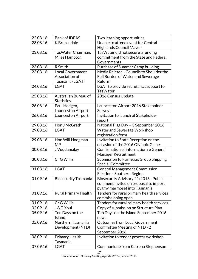| 22.08.16 | <b>Bank of IDEAS</b>        | Two learning opportunities                |
|----------|-----------------------------|-------------------------------------------|
| 23.08.16 | K Brazendale                | Unable to attend event for Central        |
|          |                             | <b>Highlands Council Mayor</b>            |
| 23.08.16 | TasWater Chairman,          | TasWater did not secure a funding         |
|          | Miles Hampton               | commitment from the State and Federal     |
|          |                             | Governments                               |
| 23.08.16 | R Smith                     | Purchase of Summer Camp building          |
| 23.08.16 | <b>Local Government</b>     | Media Release - Councils to Shoulder the  |
|          | Association of              | Full Burden of Water and Sewerage         |
|          | Tasmania (LGAT)             | Reform                                    |
| 24.08.16 | <b>LGAT</b>                 | LGAT to provide secretariat support to    |
|          |                             | <b>TasWater</b>                           |
| 25.08.16 | Australian Bureau of        | 2016 Census Update                        |
|          | <b>Statistics</b>           |                                           |
| 26.08.16 | Paul Hodgen,                | Launceston Airport 2016 Stakeholder       |
|          | Launceston Airport          | Survey                                    |
| 26.08.16 | Launceston Airport          | Invitation to launch of Stakeholder       |
|          |                             | report                                    |
| 29.08.16 | Hon J McGrath               | National Flag Day - 3 September 2016      |
| 29.08.16 | <b>LGAT</b>                 | Water and Sewerage Workshop               |
|          |                             | registration form                         |
| 29.08.16 | Hon Will Hodgman            | Invitation to State Reception on the      |
|          | <b>MP</b>                   | occasion of the 2016 Olympic Games        |
| 30.08.16 | J Vuddamalay                | Confirmation of information re General    |
|          |                             | Manager Recruitment                       |
| 30.08.16 | Cr G Willis                 | Submission to Furneaux Group Shipping     |
|          |                             | <b>Special Committee</b>                  |
| 31.08.16 | <b>LGAT</b>                 | <b>General Management Commission</b>      |
|          |                             | Election - Southern Region                |
| 01.09.16 | <b>Biosecurity Tasmania</b> | Biosecurity Advisory 21/2016 - Public     |
|          |                             | comment invited on proposal to import     |
|          |                             | pygmy marmoset into Tasmania              |
| 01.09.16 | <b>Rural Primary Health</b> | Tenders for rural primary health services |
|          |                             | commissioning open                        |
| 01.09.16 | Cr G Willis                 | Tenders for rural primary health services |
| 02.09.16 | J & T Youl                  | Copy of submission on Structure Plan      |
| 05.09.16 | Ten Days on the             | Ten Days on the Island September 2016     |
|          | Island                      | news                                      |
| 05.09.16 | Northern Tasmania           | <b>Outcomes from Local Government</b>     |
|          | Development (NTD)           | Committee Meeting of NTD - 2              |
|          |                             | September 2016                            |
| 06.09.16 | <b>Primary Health</b>       | Invitation to tender process workshop     |
|          | Tasmania                    |                                           |
| 07.09.16 | <b>LGAT</b>                 | Communiqué from Katrena Stephenson        |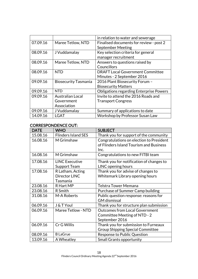|          |                             | in relation to water and sewerage              |
|----------|-----------------------------|------------------------------------------------|
| 07.09.16 | Maree Tetlow, NTD           | Finalised documents for review - post 2        |
|          |                             | <b>September Meeting</b>                       |
| 08.09.16 | J Vuddamalay                | Key selection criteria for general             |
|          |                             | manager recruitment                            |
| 08.09.16 | Maree Tetlow, NTD           | Answers to questions raised by                 |
|          |                             | Councillors                                    |
| 08.09.16 | <b>NTD</b>                  | <b>DRAFT Local Government Committee</b>        |
|          |                             | Minutes - 2 September 2016                     |
| 09.09.16 | <b>Biosecurity Tasmania</b> | 2016 Plant Biosecurity Forum -                 |
|          |                             | <b>Biosecurity Matters</b>                     |
| 09.09.16 | <b>NTD</b>                  | <b>Obligations regarding Enterprise Powers</b> |
| 09.09.16 | <b>Australian Local</b>     | Invite to attend the 2016 Roads and            |
|          | Government                  | <b>Transport Congress</b>                      |
|          | Association                 |                                                |
| 09.09.16 | J Vuddamalay                | Summary of applications to date                |
| 14.09.16 | <b>LGAT</b>                 | Workshop by Professor Susan Law                |

#### CORRESPONDENCE OUT:

| <b>DATE</b> | <b>WHO</b>                 | <b>SUBJECT</b>                           |
|-------------|----------------------------|------------------------------------------|
| 15.08.16    | <b>Flinders Island SES</b> | Thank you for support of the community   |
| 16.08.16    | M Grimshaw                 | Congratulations on election to President |
|             |                            | of Flinders Island Tourism and Business  |
|             |                            | Inc.                                     |
| 16.08.16    | M Grimshaw                 | Congratulations to new FITBI team        |
| 17.08.16    | <b>LINC Executive</b>      | Thank you for notification of changes to |
|             | <b>Support Team</b>        | LINC opening hours                       |
| 17.08.16    | R Latham, Acting           | Thank you for advise of changes to       |
|             | Director LINC              | Whitemark Library opening hours          |
|             | Tasmania                   |                                          |
| 23.08.16    | R Hart MP                  | <b>Telstra Tower Memana</b>              |
| 23.08.16    | R Smith                    | Purchase of Summer Camp building         |
| 31.08.16    | M-A Roberts                | Public question response: reasons for    |
|             |                            | <b>GM</b> dismissal                      |
| 06.09.16    | J & T Youl                 | Thank you for structure plan submission  |
| 06.09.16    | Maree Tetlow - NTD         | <b>Outcomes from Local Government</b>    |
|             |                            | Committee Meeting of NTD - 2             |
|             |                            | September 2016                           |
| 06.09.16    | Cr G Willis                | Thank you for submission to Furneaux     |
|             |                            | <b>Group Shipping Special Committee</b>  |
| 08.09.16    | <b>B</b> LaGrue            | Response to Public Question              |
| 13.09.16    | A Wheatley                 | <b>Small Grants opportunity</b>          |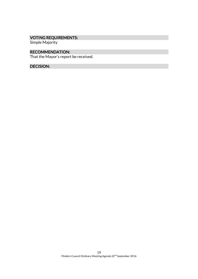## VOTING REQUIREMENTS:

Simple Majority

#### RECOMMENDATION:

That the Mayor's report be received.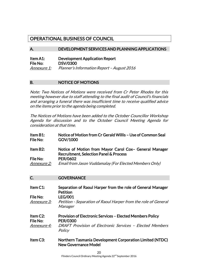## OPERATIONAL BUSINESS OF COUNCIL

#### A. DEVELOPMENT SERVICES AND PLANNING APPLICATIONS

| Item A1:           | <b>Development Application Report</b>      |
|--------------------|--------------------------------------------|
| File No:           | <b>DSV/0300</b>                            |
| <i>Annexure 1:</i> | Planner's Information Report - August 2016 |

#### B. NOTICE OF MOTIONS

Note: Two Notices of Motions were received from Cr Peter Rhodes for this meeting however due to staff attending to the final audit of Council's financials and arranging a funeral there was insufficient time to receive qualified advice on the items prior to the agenda being completed.

The Notices of Motions have been added to the October Councillor Workshop Agenda for discussion and to the October Council Meeting Agenda for consideration at that time.

| Item B1:           | Notice of Motion from Cr Gerald Willis - Use of Common Seal |
|--------------------|-------------------------------------------------------------|
| File No:           | GOV/1000                                                    |
| Item B2:           | Notice of Motion from Mayor Carol Cox- General Manager      |
|                    | <b>Recruitment, Selection Panel &amp; Process</b>           |
| File No:           | <b>PER/0602</b>                                             |
| <u>Annexure 2:</u> | Email from Jason Vuddamalay (For Elected Members Only)      |

#### C. **GOVERNANCE**

| Item C1:                          | Separation of Raoul Harper from the role of General Manager<br><b>Petition</b>                 |
|-----------------------------------|------------------------------------------------------------------------------------------------|
| File No:<br><i>Annexure 3:</i>    | <b>LEG/001</b><br>Petition - Separation of Raoul Harper from the role of General<br>Manager    |
| Item C <sub>2</sub> :<br>File No: | <b>Provision of Electronic Services - Elected Members Policy</b><br><b>PER/0300</b>            |
| <i>Annexure 4:</i>                | DRAFT Provision of Electronic Services - Elected Members<br>Policy                             |
| Item C3:                          | <b>Northern Tasmania Development Corporation Limited (NTDC)</b><br><b>New Governance Model</b> |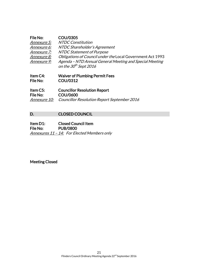| File No:           | <b>COU/0305</b>                                            |
|--------------------|------------------------------------------------------------|
| Annexure 5:        | <b>NTDC Constitution</b>                                   |
| Annexure 6:        | NTDC Shareholder's Agreement                               |
| Annexure 7:        | NTDC Statement of Purpose                                  |
| <i>Annexure 8:</i> | Obligations of Council under the Local Government Act 1993 |
| Annexure 9:        | Agenda - NTD Annual General Meeting and Special Meeting    |
|                    | on the 30 <sup>th</sup> Sept 2016                          |

Item C4: Waiver of Plumbing Permit Fees File No: COU/0312

Item C5: Councillor Resolution Report File No: COU/0600 Annexure 10: Councillor Resolution Report September 2016

#### D. CLOSED COUNCIL

Item D1: Closed Council Item File No: PUB/0800 Annexures 11 - 14: For Elected Members only

Meeting Closed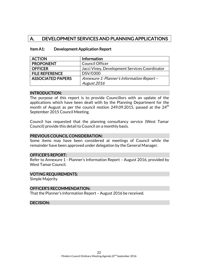## A. DEVELOPMENT SERVICES AND PLANNING APPLICATIONS

#### Item A1: Development Application Report

| <b>ACTION</b>            | <b>Information</b>                            |
|--------------------------|-----------------------------------------------|
| <b>PROPONENT</b>         | <b>Council Officer</b>                        |
| <b>OFFICER</b>           | Jacci Viney, Development Services Coordinator |
| <b>FILE REFERENCE</b>    | DSV/0300                                      |
| <b>ASSOCIATED PAPERS</b> | Annexure 1: Planner's Information Report -    |
|                          | August 2016                                   |

#### INTRODUCTION:

The purpose of this report is to provide Councillors with an update of the applications which have been dealt with by the Planning Department for the month of August as per the council motion 249.09.2015, passed at the  $24<sup>th</sup>$ September 2015 Council Meeting.

Council has requested that the planning consultancy service (West Tamar Council) provide this detail to Council on a monthly basis.

#### PREVIOUS COUNCIL CONSIDERATION:

Some items may have been considered at meetings of Council while the remainder have been approved under delegation by the General Manager.

#### OFFICER'S REPORT:

Refer to Annexure 1 - Planner's Information Report – August 2016, provided by West Tamar Council.

#### VOTING REQUIREMENTS:

Simple Majority

#### OFFICER'S RECOMMENDATION:

That the Planner's Information Report – August 2016 be received.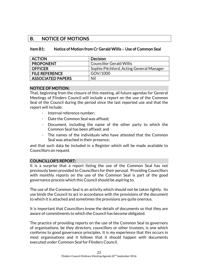## B. NOTICE OF MOTIONS

#### Item B1: Notice of Motion from Cr Gerald Willis – Use of Common Seal

| <b>ACTION</b>            | <b>Decision</b>                          |
|--------------------------|------------------------------------------|
| <b>PROPONENT</b>         | <b>Councillor Gerald Willis</b>          |
| <b>OFFICER</b>           | Sophie Pitchford, Acting General Manager |
| <b>FILE REFERENCE</b>    | GOV/1000                                 |
| <b>ASSOCIATED PAPERS</b> | Nil                                      |

#### NOTICE OF MOTION:

That, beginning from the closure of this meeting, all future agendas for General Meetings of Flinders Council will include a report on the use of the Common Seal of the Council during the period since the last reported use and that the report will include:

- Internal reference number;
- Date the Common Seal was affixed:
- Document, including the name of the other party to which the Common Seal has been affixed; and
- The names of the individuals who have attested that the Common Seal was attached in their presence;

and that such data be included in a Register which will be made available to Councillors on request.

#### COUNCILLOR'S REPORT:

It is a surprise that a report listing the use of the Common Seal has not previously been provided to Councillors for their perusal. Providing Councillors with monthly reports on the use of the Common Seal is part of the good governance process which this Council should be aspiring to.

The use of the Common Seal is an activity which should not be taken lightly. Its use binds the Council to act in accordance with the provisions of the document to which it is attached and sometimes the provisions are quite onerous.

It is important that Councillors know the details of documents so that they are aware of commitments to which the Council has become obligated.

The practice of providing reports on the use of the Common Seal to governors of organisations, be they directors, councillors or other trustees, is one which conforms to good governance principles. It is my experience that this occurs in most organisations and it follows that it should happen with documents executed under Common Seal for Flinders Council.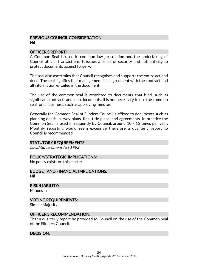## PREVIOUS COUNCIL CONSIDERATION:

Nil

#### OFFICER'S REPORT:

A Common Seal is used in common law jurisdiction and the undertaking of Council official transactions. It issues a sense of security and authenticity to protect documents against forgery.

The seal also ascertains that Council recognises and supports the entire act and deed. The seal signifies that management is in agreement with the contract and all information entailed in the document.

The use of the common seal is restricted to documents that bind, such as significant contracts and loan documents. It is not necessary to use the common seal for all business, such as approving minutes.

Generally the Common Seal of Flinders Council is affixed to documents such as planning deeds, survey plans, final title plans, and agreements. In practice the Common Seal is used infrequently by Council, around 10 - 15 times per year. Monthly reporting would seem excessive therefore a quarterly report to Council is recommended.

#### STATUTORY REQUIREMENTS:

Local Government Act 1993

#### POLICY/STRATEGIC IMPLICATIONS:

No policy exists on this matter.

BUDGET AND FINANCIAL IMPLICATIONS: Nil

RISK/LIABILITY:

Minimum

VOTING REQUIREMENTS:

Simple Majority

#### OFFICER'S RECOMMENDATION:

That a quarterly report be provided to Council on the use of the Common Seal of the Flinders Council.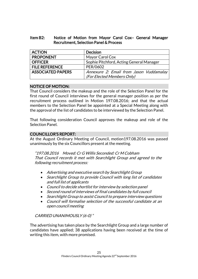#### Item B2: Notice of Motion from Mayor Carol Cox– General Manager Recruitment, Selection Panel & Process

| <b>ACTION</b>            | <b>Decision</b>                          |
|--------------------------|------------------------------------------|
| <b>PROPONENT</b>         | Mayor Carol Cox                          |
| <b>OFFICER</b>           | Sophie Pitchford, Acting General Manager |
| <b>FILE REFERENCE</b>    | PER/0602                                 |
| <b>ASSOCIATED PAPERS</b> | Annexure 2: Email from Jason Vuddamalay  |
|                          | (For Elected Members Only)               |

#### NOTICE OF MOTION:

That Council considers the makeup and the role of the Selection Panel for the first round of Council interviews for the general manager position as per the recruitment process outlined in Motion 197.08.2016; and that the actual members to the Selection Panel be appointed at a Special Meeting along with the approval of the list of candidates to be interviewed by the Selection Panel.

That following consideration Council approves the makeup and role of the Selection Panel.

#### COUNCILLOR'S REPORT:

At the August Ordinary Meeting of Council, motion197.08.2016 was passed unanimously by the six Councillors present at the meeting.

"197.08.2016 Moved: Cr G Willis Seconded: Cr M Cobham That Council records it met with Searchlight Group and agreed to the following recruitment process:

- Advertising and executive search by Searchlight Group
- Searchlight Group to provide Council with long list of candidates and full list of applicants
- Council to decide shortlist for interview by selection panel
- Second round of interviews of final candidates by full council
- Searchlight Group to assist Council to prepare interview questions
- Council will formalise selection of the successful candidate at an open council meeting

### CARRIED UNANIMOUSLY (6-0) "

The advertising has taken place by the Searchlight Group and a large number of candidates have applied; 38 applications having been received at the time of writing this item, with more promised.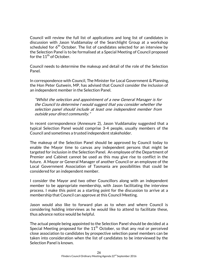Council will review the full list of applications and long list of candidates in discussion with Jason Vuddamalay of the Searchlight Group at a workshop scheduled for  $6<sup>th</sup>$  October. The list of candidates selected for an interview by the Selection Panel is to be formalised at a Special Meeting of Council proposed for the 11<sup>th</sup> of October.

Council needs to determine the makeup and detail of the role of the Selection Panel.

In correspondence with Council, The Minister for Local Government & Planning, the Hon Peter Gutwein, MP, has advised that Council consider the inclusion of an independent member in the Selection Panel.

"Whilst the selection and appointment of a new General Manager is for the Council to determine I would suggest that you consider whether the selection panel should include at least one independent member from outside your direct community."

In recent correspondence (Annexure 2), Jason Vuddamalay suggested that a typical Selection Panel would comprise 3-4 people, usually members of the Council and sometimes a trusted independent stakeholder.

The makeup of the Selection Panel should be approved by Council today to enable the Mayor time to canvas any independent persons that might be targeted for inclusion in the Selection Panel. An employee of the Department of Premier and Cabinet cannot be used as this may give rise to conflict in the future. A Mayor or General Manager of another Council or an employee of the Local Government Association of Tasmania are possibilities that could be considered for an independent member.

I consider the Mayor and two other Councillors along with an independent member to be appropriate membership, with Jason facilitating the interview process. I make this point as a starting point for the discussion to arrive at a membership that Council can approve at this Council Meeting.

Jason would also like to forward plan as to when and where Council is considering holding interviews as he would like to attend to facilitate these, thus advance notice would be helpful.

The actual people being appointed to the Selection Panel should be decided at a Special Meeting proposed for the  $11<sup>th</sup>$  October, so that any real or perceived close association to candidates by prospective selection panel members can be taken into consideration when the list of candidates to be interviewed by the Selection Panel is known.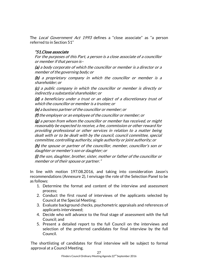The Local Government Act 1993 defines a "close associate" as "a person referred to in Section 51"

## "51. Close associate

For the purposes of this Part, a person is a close associate of a councillor or member if that person is–

(a) a body corporate of which the councillor or member is a director or a member of the governing body; or

(b) a proprietary company in which the councillor or member is a shareholder; or

(c) a public company in which the councillor or member is directly or indirectly a substantial shareholder; or

(d) a beneficiary under a trust or an object of a discretionary trust of which the councillor or member is a trustee; or

(e) a business partner of the councillor or member; or

(f) the employer or an employee of the councillor or member; or

 $(g)$  a person from whom the councillor or member has received, or might reasonably be expected to receive, a fee, commission or other reward for providing professional or other services in relation to a matter being dealt with or to be dealt with by the council, council committee, special committee, controlling authority, single authority or joint authority; or

(h) the spouse or partner of the councillor, member, councillor's son or daughter or member's son or daughter; or

(i) the son, daughter, brother, sister, mother or father of the councillor or member or of their spouse or partner."

In line with motion 197.08.2016, and taking into consideration Jason's recommendations (Annexure 2), I envisage the role of the Selection Panel to be as follows:

- 1. Determine the format and content of the interview and assessment process;
- 2. Conduct the first round of interviews of the applicants selected by Council at the Special Meeting;
- 3. Evaluate background checks, psychometric appraisals and references of applicants interviewed;
- 4. Decide who will advance to the final stage of assessment with the full Council; and
- 5. Present a detailed report to the full Council on the interviews and selection of the preferred candidates for final interview by the full Council.

The shortlisting of candidates for final interview will be subject to formal approval at a Council Meeting.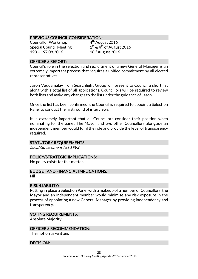#### PREVIOUS COUNCIL CONSIDERATION:

Councillor Workshop 4 Special Council Meeting 1 193 – 197.08.2016 18<sup>th</sup> August 2016

 $4<sup>th</sup>$  August 2016  $1<sup>st</sup>$  & 4<sup>th</sup> of August 2016

#### OFFICER'S REPORT:

Council's role in the selection and recruitment of a new General Manager is an extremely important process that requires a unified commitment by all elected representatives.

Jason Vuddamalay from Searchlight Group will present to Council a short list along with a total list of all applications. Councillors will be required to review both lists and make any changes to the list under the guidance of Jason.

Once the list has been confirmed, the Council is required to appoint a Selection Panel to conduct the first round of interviews.

It is extremely important that all Councillors consider their position when nominating for the panel. The Mayor and two other Councillors alongside an independent member would fulfil the role and provide the level of transparency required.

#### STATUTORY REQUIREMENTS:

Local Government Act 1993

#### POLICY/STRATEGIC IMPLICATIONS:

No policy exists for this matter.

#### BUDGET AND FINANCIAL IMPLICATIONS:

Nil

#### RISK/LIABILITY:

Putting in place a Selection Panel with a makeup of a number of Councillors, the Mayor and an independent member would minimise any risk exposure in the process of appointing a new General Manager by providing independency and transparency.

#### VOTING REQUIREMENTS:

Absolute Majority

#### OFFICER'S RECOMMENDATION:

The motion as written.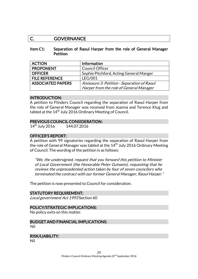## C. GOVERNANCE

#### Item C1: Separation of Raoul Harper from the role of General Manager **Petition**

| <b>ACTION</b>            | <b>Information</b>                         |
|--------------------------|--------------------------------------------|
| <b>PROPONENT</b>         | <b>Council Officer</b>                     |
| <b>OFFICER</b>           | Sophie Pitchford, Acting General Manger    |
| <b>FILE REFERENCE</b>    | <b>LEG/001</b>                             |
| <b>ASSOCIATED PAPERS</b> | Annexure 3: Petition - Separation of Raoul |
|                          | Harper from the role of General Manager    |

#### INTRODUCTION:

A petition to Flinders Council regarding the separation of Raoul Harper from the role of General Manager was received from Joanna and Terence Klug and tabled at the 14<sup>th</sup> July 2016 Ordinary Meeting of Council.

#### PREVIOUS COUNCIL CONSIDERATION:

14<sup>th</sup> July 2016 144.07.2016

#### OFFICER'S REPORT:

A petition with 99 signatories regarding the separation of Raoul Harper from the role of General Manager was tabled at the 14<sup>th</sup> July 2016 Ordinary Meeting of Council. The wording of the petition is as follows:

"We, the undersigned, request that you forward this petition to Minister of Local Government (the Honorable Peter Gutwein), requesting that he reviews the unprecedented action taken by four of seven councilors who terminated the contract with our former General Manager, Raoul Harper."

The petition is now presented to Council for consideration.

#### STATUTORY REQUIREMENT:

Local government Act 1993 Section 60

#### POLICY/STRATEGIC IMPLICATIONS:

No policy exits on this matter.

BUDGET AND FINANCIAL IMPLICATIONS: Nil

#### RISK/LIABILITY:

Nil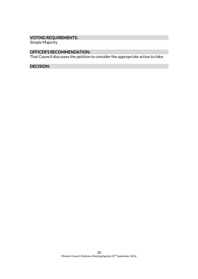## VOTING REQUIREMENTS:

Simple Majority

#### OFFICER'S RECOMMENDATION:

That Council discusses the petition to consider the appropriate action to take.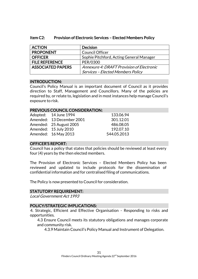| <b>ACTION</b>            | <b>Decision</b>                           |
|--------------------------|-------------------------------------------|
| <b>PROPONENT</b>         | <b>Council Officer</b>                    |
| <b>OFFICER</b>           | Sophie Pitchford, Acting General Manager  |
| <b>FILE REFERENCE</b>    | PER/0300                                  |
| <b>ASSOCIATED PAPERS</b> | Annexure 4: DRAFT Provision of Electronic |
|                          | <b>Services - Elected Members Policy</b>  |

#### Item C2: Provision of Electronic Services – Elected Members Policy

#### INTRODUCTION:

Council's Policy Manual is an important document of Council as it provides direction to Staff, Management and Councillors. Many of the policies are required by, or relate to, legislation and in most instances help manage Council's exposure to risk.

#### PREVIOUS COUNCIL CONSIDERATION:

| Adopted: 14 June 1994     | 133.06.94   |
|---------------------------|-------------|
| Amended: 13 December 2001 | 301.12.01   |
| Amended: 25 August 2005   | 486.08.05   |
| Amended: 15 July 2010     | 192.07.10   |
| Amended: 16 May 2013      | 544.05.2013 |

#### OFFICER'S REPORT:

Council has a policy that states that policies should be reviewed at least every four (4) years by the then elected members.

The Provision of Electronic Services – Elected Members Policy has been reviewed and updated to include protocols for the dissemination of confidential information and for centralised filing of communications.

The Policy is now presented to Council for consideration.

#### STATUTORY REQUIREMENT:

Local Government Act 1993

#### POLICY/STRATEGIC IMPLICATIONS:

4. Strategic, Efficient and Effective Organisation - Responding to risks and opportunities.

4.3 Ensure Council meets its statutory obligations and manages corporate and community risk.

4.3.9 Maintain Council's Policy Manual and Instrument of Delegation.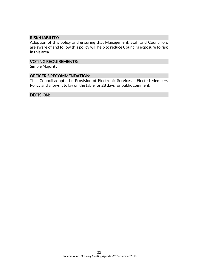#### RISK/LIABILITY:

Adoption of this policy and ensuring that Management, Staff and Councillors are aware of and follow this policy will help to reduce Council's exposure to risk in this area.

#### VOTING REQUIREMENTS:

Simple Majority

#### OFFICER'S RECOMMENDATION:

That Council adopts the Provision of Electronic Services – Elected Members Policy and allows it to lay on the table for 28 days for public comment.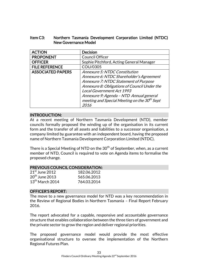#### Item C3: Northern Tasmania Development Corporation Limited (NTDC) New Governance Model

| <b>ACTION</b>            | <b>Decision</b>                                   |
|--------------------------|---------------------------------------------------|
| <b>PROPONENT</b>         | Council Officer                                   |
| <b>OFFICER</b>           | Sophie Pitchford, Acting General Manager          |
| <b>FILE REFERENCE</b>    | COU/0305                                          |
| <b>ASSOCIATED PAPERS</b> | Annexure 5: NTDC Constitution                     |
|                          | Annexure 6: NTDC Shareholder's Agreement          |
|                          | Annexure 7: NTDC Statement of Purpose             |
|                          | Annexure 8: Obligations of Council Under the      |
|                          | <b>Local Government Act 1993</b>                  |
|                          | Annexure 9: Agenda - NTD Annual general           |
|                          | meeting and Special Meeting on the $30^{th}$ Sept |
|                          | 2016                                              |

#### INTRODUCTION:

At a recent meeting of Northern Tasmania Development (NTD), member councils formally proposed the winding up of the organisation in its current form and the transfer of all assets and liabilities to a successor organisation, a company limited by guarantee with an independent board, having the proposed name of Northern Tasmania Development Corporation Limited (NTDC).

There is a Special Meeting of NTD on the  $30<sup>th</sup>$  of September, when, as a current member of NTD, Council is required to vote on Agenda items to formalise the proposed change.

#### PREVIOUS COUNCIL CONSIDERATION:

| $21st$ June 2012  | 182.06.2012 |
|-------------------|-------------|
| $20th$ June 2013  | 565.06.2013 |
| $13th$ March 2014 | 764.03.2014 |

#### OFFICER'S REPORT:

The move to a new governance model for NTD was a key recommendation in the Review of Regional Bodies in Northern Tasmania – Final Report February 2016.

The report advocated for a capable, responsive and accountable governance structure that enables collaboration between the three tiers of government and the private sector to grow the region and deliver regional priorities.

The proposed governance model would provide the most effective organisational structure to oversee the implementation of the Northern Regional Futures Plan.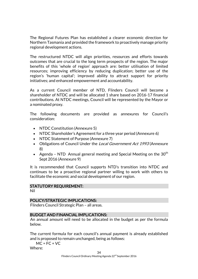The Regional Futures Plan has established a clearer economic direction for Northern Tasmania and provided the framework to proactively manage priority regional development actions.

The restructured NTDC will align priorities, resources and efforts towards outcomes that are crucial to the long term prospects of the region. The major benefits of this 'whole of region' approach are: better utilisation of limited resources; improving efficiency by reducing duplication; better use of the region's 'human capital'; improved ability to attract support for priority initiatives; and enhanced empowerment and accountability.

As a current Council member of NTD, Flinders Council will become a shareholder of NTDC and will be allocated 1 share based on 2016-17 financial contributions. At NTDC meetings, Council will be represented by the Mayor or a nominated proxy.

The following documents are provided as annexures for Council's consideration:

- NTDC Constitution (Annexure 5)
- NTDC Shareholder's Agreement for a three year period (Annexure 6)
- NTDC Statement of Purpose (Annexure 7)
- Obligations of Council Under the *Local Government Act 1993* (Annexure 8)
- Agenda NTD Annual general meeting and Special Meeting on the  $30<sup>th</sup>$ Sept 2016 (Annexure 9)

It is recommended that Council supports NTD's transition into NTDC and continues to be a proactive regional partner willing to work with others to facilitate the economic and social development of our region.

#### STATUTORY REQUIREMENT:

Nil

#### POLICY/STRATEGIC IMPLICATIONS:

Flinders Council Strategic Plan – all areas.

#### BUDGET AND FINANCIAL IMPLICATIONS:

An annual amount will need to be allocated in the budget as per the formula below.

The current formula for each council's annual payment is already established and is proposed to remain unchanged, being as follows:

 $MC = FC + VC$ 

Where: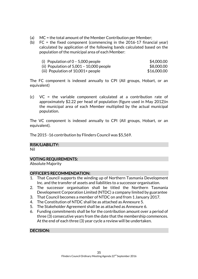- (a) MC = the total amount of the Member Contribution per Member;
- (b) FC = the fixed component (commencing in the 2016-17 financial year) calculated by application of the following bands calculated based on the population of the municipal area of each Member:

| (i) Population of $0 - 5,000$ people       | \$4,000.00  |
|--------------------------------------------|-------------|
| (ii) Population of $5,001 - 10,000$ people | \$8,000,00  |
| (iii) Population of 10,001+ people         | \$16,000,00 |

The FC component is indexed annually to CPI (All groups, Hobart, or an equivalent)

(c) VC = the variable component calculated at a contribution rate of approximately \$2.22 per head of population (figure used in May 2012)in the municipal area of each Member multiplied by the actual municipal population.

The VC component is indexed annually to CPI (All groups, Hobart, or an equivalent).

The 2015 -16 contribution by Flinders Council was \$5,569.

#### RISK/LIABILITY:

Nil

#### VOTING REQUIREMENTS:

Absolute Majority

#### OFFICER'S RECOMMENDATION:

- 1. That Council supports the winding up of Northern Tasmania Development Inc. and the transfer of assets and liabilities to a successor organisation.
- 2. The successor organisation shall be titled the Northern Tasmania Development Corporation Limited (NTDC) a company limited by guarantee
- 3. That Council becomes a member of NTDC on and from 1 January 2017.
- 4. The Constitution of NTDC shall be as attached as Annexure 5.
- 5. The Stakeholder Agreement shall be as attached as Annexure 6.
- 6. Funding commitments shall be for the contribution amount over a period of three (3) consecutive years from the date that the membership commences. At the end of each three (3) year cycle a review will be undertaken.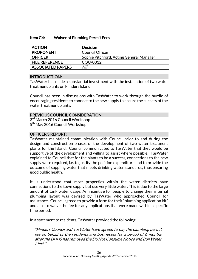#### Item C4: Waiver of Plumbing Permit Fees

| <b>ACTION</b>            | <b>Decision</b>                          |
|--------------------------|------------------------------------------|
| <b>PROPONENT</b>         | <b>Council Officer</b>                   |
| <b>OFFICER</b>           | Sophie Pitchford, Acting General Manager |
| <b>FILE REFERENCE</b>    | COU/0312                                 |
| <b>ASSOCIATED PAPERS</b> | Nil                                      |

#### INTRODUCTION:

TasWater has made a substantial investment with the installation of two water treatment plants on Flinders Island.

Council has been in discussions with TasWater to work through the hurdle of encouraging residents to connect to the new supply to ensure the success of the water treatment plants.

#### PREVIOUS COUNCIL CONSIDERATION:

3<sup>rd</sup> March 2016 Council Workshop 5<sup>th</sup> May 2016 Council Workshop

#### OFFICER'S REPORT:

TasWater maintained communication with Council prior to and during the design and construction phases of the development of two water treatment plants for the Island. Council communicated to TasWater that they would be supportive of the development and willing to assist where possible. TasWater explained to Council that for the plants to be a success, connections to the new supply were required, i.e. to justify the position expenditure and to provide the outcome of suppling water that meets drinking water standards, thus ensuring good public health.

It is understood that most properties within the water districts have connections to the town supply but use very little water. This is due to the large amount of tank water usage. An incentive for people to change their internal plumbing layout was devised by TasWater who approached Council for assistance. Council agreed to provide a form for their "plumbing application kit" and also to waive the fee for any applications that were made within a specific time period.

In a statement to residents, TasWater provided the following:

"Flinders Council and TasWater have agreed to pay the plumbing permit fee on behalf of the residents and businesses for a period of 6 months after the DHHS has removed the Do Not Consume Notice and Boil Water Alert."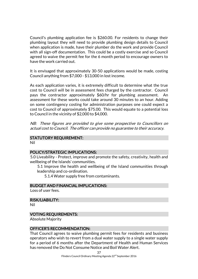Council's plumbing application fee is \$260.00. For residents to change their plumbing layout they will need to provide plumbing design details to Council when application is made, have their plumber do the work and provide Council with all sign-off documentation. This could be a costly exercise and so Council agreed to waive the permit fee for the 6 month period to encourage owners to have the work carried out.

It is envisaged that approximately 30-50 applications would be made, costing Council anything from \$7,000 - \$13,000 in lost income.

As each application varies, it is extremely difficult to determine what the true cost to Council will be in assessment fees charged by the contractor. Council pays the contractor approximately \$60/hr for plumbing assessment. An assessment for these works could take around 30 minutes to an hour. Adding on some contingency costing for administration purposes one could expect a cost to Council of approximately \$75.00. This would equate to a potential loss to Council in the vicinity of \$2,000 to \$4,000.

NB: These figures are provided to give some prospective to Councillors on actual cost to Council. The officer can provide no guarantee to their accuracy.

#### STATUTORY REQUIREMENT:

Nil

#### POLICY/STRATEGIC IMPLICATIONS:

5.0 Liveability - Protect, improve and promote the safety, creativity, health and wellbeing of the Islands' communities.

5.1 Improve the health and wellbeing of the Island communities through leadership and co-ordination.

5.1.4 Water supply free from contaminants.

#### BUDGET AND FINANCIAL IMPLICATIONS:

Loss of user fees.

RISK/LIABILITY:

Nil

#### VOTING REQUIREMENTS:

Absolute Majority

#### OFFICER'S RECOMMENDATION:

That Council agrees to waive plumbing permit fees for residents and business operators who wish to revert from a dual water supply to a single water supply for a period of 6 months after the Department of Health and Human Services has removed the Do Not Consume Notice and Boil Water Alert.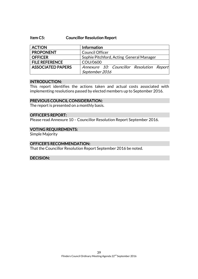#### Item C5: Councillor Resolution Report

| <b>ACTION</b>            | Information                               |
|--------------------------|-------------------------------------------|
| <b>PROPONENT</b>         | <b>Council Officer</b>                    |
| <b>OFFICER</b>           | Sophie Pitchford, Acting General Manager  |
| <b>FILE REFERENCE</b>    | COU/0600                                  |
| <b>ASSOCIATED PAPERS</b> | Annexure 10: Councillor Resolution Report |
|                          | September 2016                            |

#### INTRODUCTION:

This report identifies the actions taken and actual costs associated with implementing resolutions passed by elected members up to September 2016.

#### PREVIOUS COUNCIL CONSIDERATION:

The report is presented on a monthly basis.

#### OFFICER'S REPORT:

Please read Annexure 10 – Councillor Resolution Report September 2016.

#### VOTING REQUIREMENTS:

Simple Majority

#### OFFICER'S RECOMMENDATION:

That the Councillor Resolution Report September 2016 be noted.